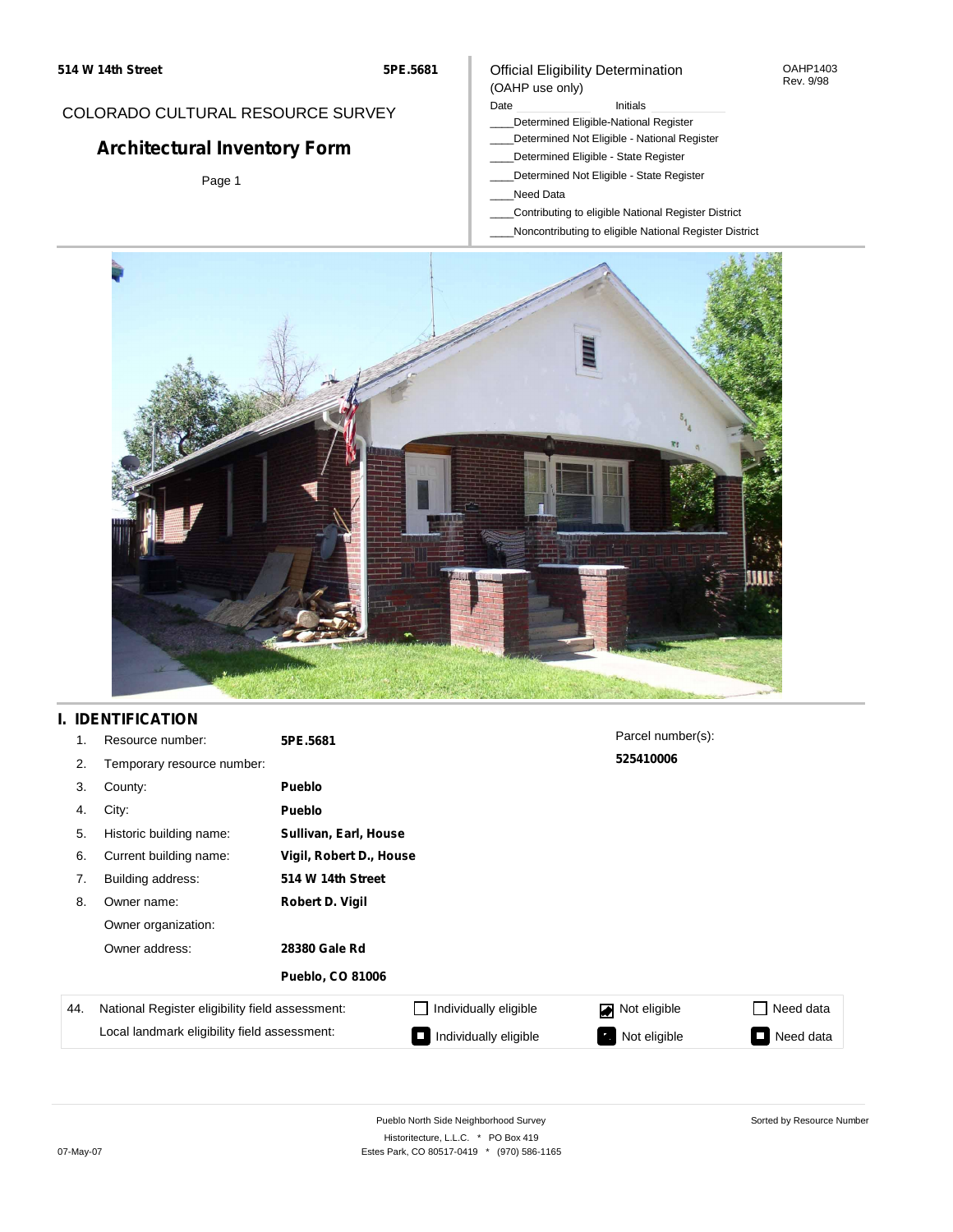### COLORADO CULTURAL RESOURCE SURVEY

# **Architectural Inventory Form**

Page 1

#### Official Eligibility Determination (OAHP use only)

#### Date **Initials** Initials

- \_\_\_\_Determined Eligible-National Register
- \_\_\_\_Determined Not Eligible National Register
- \_\_\_\_Determined Eligible State Register
- \_\_\_\_Determined Not Eligible State Register
- \_\_\_\_Need Data
- \_\_\_\_Contributing to eligible National Register District
- \_\_\_\_Noncontributing to eligible National Register District



## **I. IDENTIFICATION**

| 1.  | Resource number:                                | 5PE.5681                |                         | Parcel number(s):              |           |  |  |  |
|-----|-------------------------------------------------|-------------------------|-------------------------|--------------------------------|-----------|--|--|--|
| 2.  | Temporary resource number:                      |                         |                         | 525410006                      |           |  |  |  |
| 3.  | County:                                         | <b>Pueblo</b>           |                         |                                |           |  |  |  |
| 4.  | City:                                           | <b>Pueblo</b>           |                         |                                |           |  |  |  |
| 5.  | Historic building name:                         |                         | Sullivan, Earl, House   |                                |           |  |  |  |
| 6.  | Current building name:                          |                         | Vigil, Robert D., House |                                |           |  |  |  |
| 7.  | Building address:                               | 514 W 14th Street       |                         |                                |           |  |  |  |
| 8.  | Owner name:                                     | Robert D. Vigil         |                         |                                |           |  |  |  |
|     | Owner organization:                             |                         |                         |                                |           |  |  |  |
|     | Owner address:                                  | 28380 Gale Rd           |                         |                                |           |  |  |  |
|     |                                                 | <b>Pueblo, CO 81006</b> |                         |                                |           |  |  |  |
| 44. | National Register eligibility field assessment: |                         | Individually eligible   | Not eligible<br>$\blacksquare$ | Need data |  |  |  |
|     | Local landmark eligibility field assessment:    |                         | Individually eligible   | Not eligible                   | Need data |  |  |  |

Sorted by Resource Number

OAHP1403 Rev. 9/98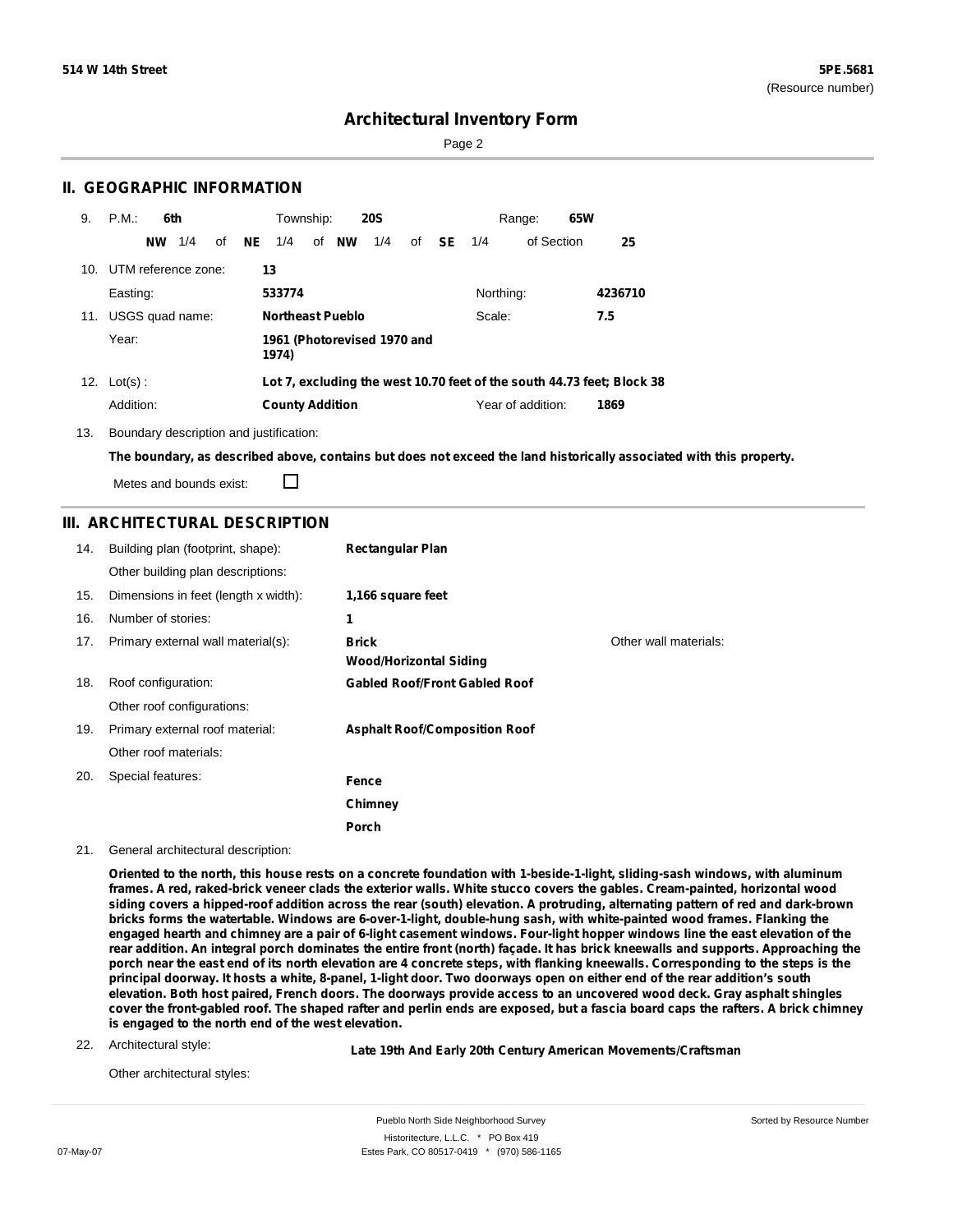Sorted by Resource Number

### **Architectural Inventory Form**

Page 2

### **II. GEOGRAPHIC INFORMATION**

| 9.  | P.M.                    |           | 6th |    |     | Township:              |                         | <b>20S</b>                  |              |           | 65W<br>Range:                                                          |         |
|-----|-------------------------|-----------|-----|----|-----|------------------------|-------------------------|-----------------------------|--------------|-----------|------------------------------------------------------------------------|---------|
|     |                         | <b>NW</b> | 1/4 | οf | NE. | 1/4                    | of <b>NW</b>            | 1/4                         | of <b>SE</b> | 1/4       | of Section                                                             | 25      |
|     | 10. UTM reference zone: |           |     |    |     | 13                     |                         |                             |              |           |                                                                        |         |
|     | Easting:                |           |     |    |     | 533774                 |                         |                             |              | Northing: |                                                                        | 4236710 |
| 11. | USGS quad name:         |           |     |    |     |                        | <b>Northeast Pueblo</b> |                             |              | Scale:    |                                                                        | 7.5     |
|     | Year:                   |           |     |    |     | 1974)                  |                         | 1961 (Photorevised 1970 and |              |           |                                                                        |         |
|     | 12. $Lot(s)$ :          |           |     |    |     |                        |                         |                             |              |           | Lot 7, excluding the west 10.70 feet of the south 44.73 feet; Block 38 |         |
|     | Addition:               |           |     |    |     | <b>County Addition</b> |                         |                             |              |           | Year of addition:                                                      | 1869    |

13. Boundary description and justification:

The boundary, as described above, contains but does not exceed the land historically associated with this property.

Metes and bounds exist:

П

### **III. ARCHITECTURAL DESCRIPTION**

| 14. | Building plan (footprint, shape):<br>Other building plan descriptions: | <b>Rectangular Plan</b>                |                       |
|-----|------------------------------------------------------------------------|----------------------------------------|-----------------------|
| 15. | Dimensions in feet (length x width):                                   | 1,166 square feet                      |                       |
| 16. | Number of stories:                                                     | 1                                      |                       |
| 17. | Primary external wall material(s):                                     | <b>Brick</b><br>Wood/Horizontal Siding | Other wall materials: |
| 18. | Roof configuration:                                                    | <b>Gabled Roof/Front Gabled Roof</b>   |                       |
|     | Other roof configurations:                                             |                                        |                       |
| 19. | Primary external roof material:                                        | <b>Asphalt Roof/Composition Roof</b>   |                       |
|     | Other roof materials:                                                  |                                        |                       |
| 20. | Special features:                                                      | Fence                                  |                       |
|     |                                                                        | Chimney                                |                       |
|     |                                                                        | Porch                                  |                       |

#### 21. General architectural description:

Oriented to the north, this house rests on a concrete foundation with 1-beside-1-light, sliding-sash windows, with aluminum frames. A red, raked-brick veneer clads the exterior walls. White stucco covers the gables. Cream-painted, horizontal wood siding covers a hipped-roof addition across the rear (south) elevation. A protruding, alternating pattern of red and dark-brown **bricks forms the watertable. Windows are 6-over-1-light, double-hung sash, with white-painted wood frames. Flanking the** engaged hearth and chimney are a pair of 6-light casement windows. Four-light hopper windows line the east elevation of the rear addition. An integral porch dominates the entire front (north) façade. It has brick kneewalls and supports. Approaching the porch near the east end of its north elevation are 4 concrete steps, with flanking kneewalls. Corresponding to the steps is the principal doorway. It hosts a white, 8-panel, 1-light door. Two doorways open on either end of the rear addition's south elevation. Both host paired, French doors. The doorways provide access to an uncovered wood deck. Gray asphalt shingles cover the front-gabled roof. The shaped rafter and perlin ends are exposed, but a fascia board caps the rafters. A brick chimney **is engaged to the north end of the west elevation.**

22. Architectural style:

**Late 19th And Early 20th Century American Movements/Craftsman**

Other architectural styles: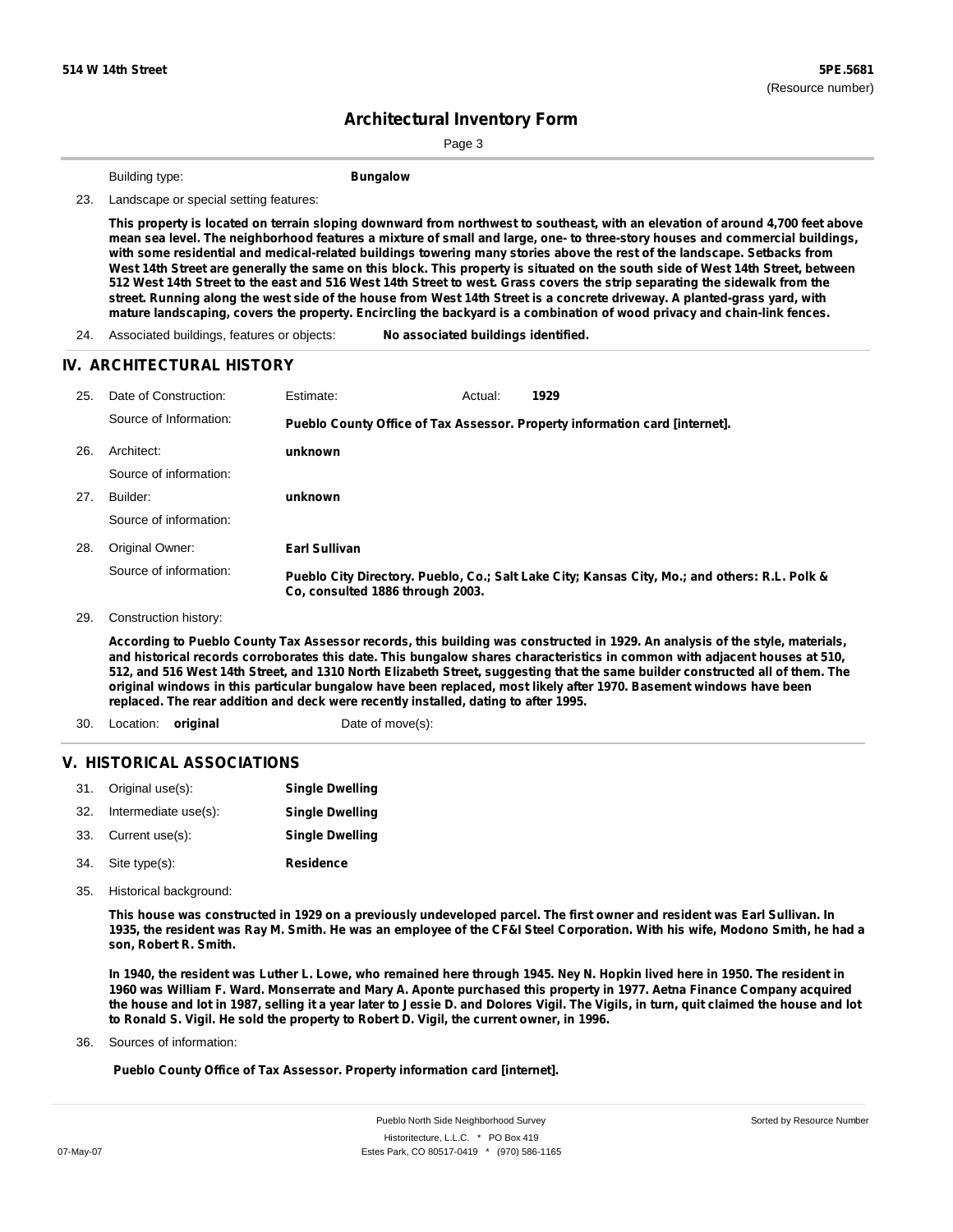Sorted by Resource Number

# **Architectural Inventory Form**

Page 3

Building type: **Bungalow**

23. Landscape or special setting features:

This property is located on terrain sloping downward from northwest to southeast, with an elevation of around 4,700 feet above mean sea level. The neighborhood features a mixture of small and large, one- to three-story houses and commercial buildings, with some residential and medical-related buildings towering many stories above the rest of the landscape. Setbacks from West 14th Street are generally the same on this block. This property is situated on the south side of West 14th Street, between 512 West 14th Street to the east and 516 West 14th Street to west. Grass covers the strip separating the sidewalk from the street. Running along the west side of the house from West 14th Street is a concrete driveway. A planted-grass yard, with mature landscaping, covers the property. Encircling the backyard is a combination of wood privacy and chain-link fences.

24. Associated buildings, features or objects: **No associated buildings identified.**

#### **IV. ARCHITECTURAL HISTORY**

| 25. | Date of Construction:<br>Source of Information: | Estimate:                                                                   | Actual: | 1929 |                                                                                               |  |
|-----|-------------------------------------------------|-----------------------------------------------------------------------------|---------|------|-----------------------------------------------------------------------------------------------|--|
|     |                                                 | Pueblo County Office of Tax Assessor. Property information card [internet]. |         |      |                                                                                               |  |
| 26. | Architect:                                      | unknown                                                                     |         |      |                                                                                               |  |
|     | Source of information:                          |                                                                             |         |      |                                                                                               |  |
| 27. | Builder:                                        | unknown                                                                     |         |      |                                                                                               |  |
|     | Source of information:                          |                                                                             |         |      |                                                                                               |  |
| 28. | Original Owner:                                 | Earl Sullivan                                                               |         |      |                                                                                               |  |
|     | Source of information:                          | Co, consulted 1886 through 2003.                                            |         |      | Pueblo City Directory. Pueblo, Co.; Salt Lake City; Kansas City, Mo.; and others: R.L. Polk & |  |

29. Construction history:

According to Pueblo County Tax Assessor records, this building was constructed in 1929. An analysis of the style, materials, and historical records corroborates this date. This bungalow shares characteristics in common with adjacent houses at 510, 512, and 516 West 14th Street, and 1310 North Elizabeth Street, suggesting that the same builder constructed all of them. The original windows in this particular bungalow have been replaced, most likely after 1970. Basement windows have been **replaced. The rear addition and deck were recently installed, dating to after 1995.**

- 30. Location: **original** Date of move(s):
	-

### **V. HISTORICAL ASSOCIATIONS**

|     | 31. Original use(s): | <b>Single Dwelling</b> |
|-----|----------------------|------------------------|
| 32. | Intermediate use(s): | <b>Single Dwelling</b> |
|     | 33. Current use(s):  | <b>Single Dwelling</b> |
|     | 34. Site type(s):    | Residence              |

35. Historical background:

This house was constructed in 1929 on a previously undeveloped parcel. The first owner and resident was Earl Sullivan. In 1935, the resident was Ray M. Smith. He was an employee of the CF&I Steel Corporation. With his wife, Modono Smith, he had a **son, Robert R. Smith.**

In 1940, the resident was Luther L. Lowe, who remained here through 1945. Ney N. Hopkin lived here in 1950. The resident in 1960 was William F. Ward. Monserrate and Mary A. Aponte purchased this property in 1977. Aetna Finance Company acquired the house and lot in 1987, selling it a year later to Jessie D. and Dolores Vigil. The Vigils, in turn, quit claimed the house and lot **to Ronald S. Vigil. He sold the property to Robert D. Vigil, the current owner, in 1996.**

36. Sources of information:

**Pueblo County Office of Tax Assessor. Property information card [internet].**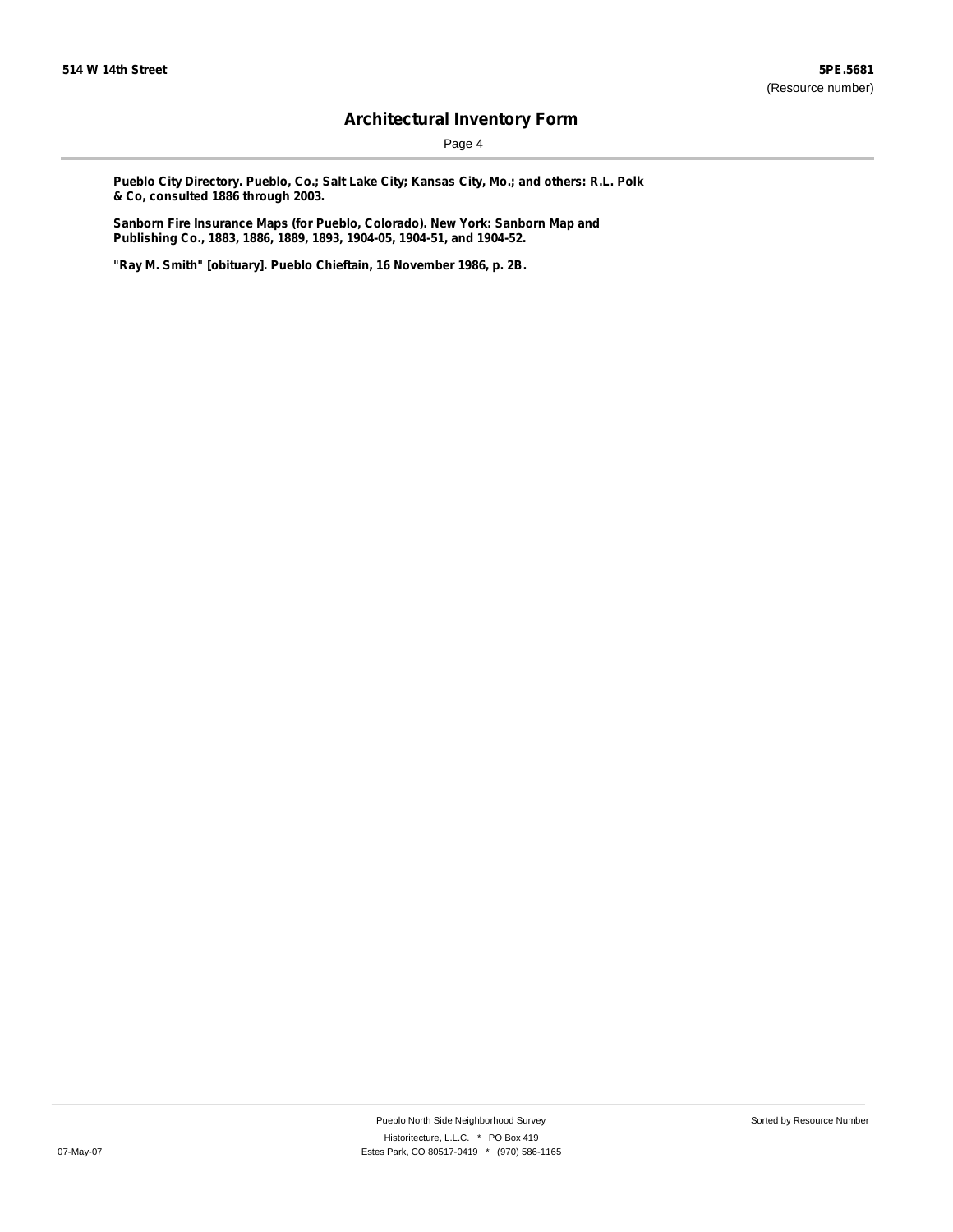Page 4

**Pueblo City Directory. Pueblo, Co.; Salt Lake City; Kansas City, Mo.; and others: R.L. Polk & Co, consulted 1886 through 2003.**

**Sanborn Fire Insurance Maps (for Pueblo, Colorado). New York: Sanborn Map and Publishing Co., 1883, 1886, 1889, 1893, 1904-05, 1904-51, and 1904-52.**

**"Ray M. Smith" [obituary]. Pueblo Chieftain, 16 November 1986, p. 2B.**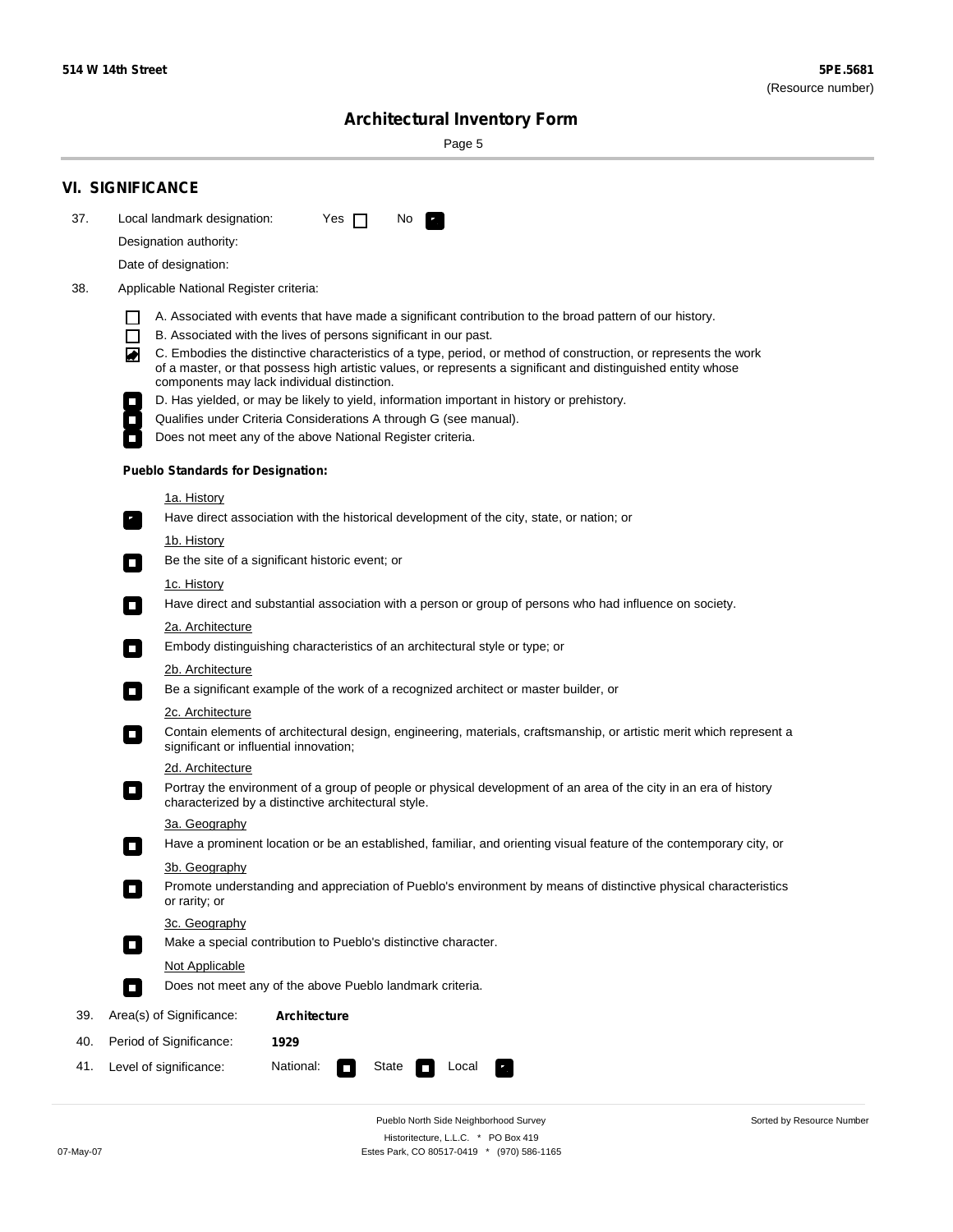$\sim$ 

Sorted by Resource Number

# **Architectural Inventory Form**

Page 5

|                                                                                                                                                                                                                                                                                                                                                                                                                                        | <b>VI. SIGNIFICANCE</b>                                                                                                                                                                                                       |  |  |  |  |  |  |
|----------------------------------------------------------------------------------------------------------------------------------------------------------------------------------------------------------------------------------------------------------------------------------------------------------------------------------------------------------------------------------------------------------------------------------------|-------------------------------------------------------------------------------------------------------------------------------------------------------------------------------------------------------------------------------|--|--|--|--|--|--|
| 37.                                                                                                                                                                                                                                                                                                                                                                                                                                    | Local landmark designation:<br>Yes $\Box$<br>No.                                                                                                                                                                              |  |  |  |  |  |  |
|                                                                                                                                                                                                                                                                                                                                                                                                                                        | Designation authority:                                                                                                                                                                                                        |  |  |  |  |  |  |
|                                                                                                                                                                                                                                                                                                                                                                                                                                        | Date of designation:                                                                                                                                                                                                          |  |  |  |  |  |  |
| 38.                                                                                                                                                                                                                                                                                                                                                                                                                                    | Applicable National Register criteria:                                                                                                                                                                                        |  |  |  |  |  |  |
| A. Associated with events that have made a significant contribution to the broad pattern of our history.<br>l.<br>B. Associated with the lives of persons significant in our past.<br>$\Box$<br>C. Embodies the distinctive characteristics of a type, period, or method of construction, or represents the work<br>◙<br>of a master, or that possess high artistic values, or represents a significant and distinguished entity whose |                                                                                                                                                                                                                               |  |  |  |  |  |  |
|                                                                                                                                                                                                                                                                                                                                                                                                                                        | components may lack individual distinction.                                                                                                                                                                                   |  |  |  |  |  |  |
|                                                                                                                                                                                                                                                                                                                                                                                                                                        | D. Has yielded, or may be likely to yield, information important in history or prehistory.<br>Qualifies under Criteria Considerations A through G (see manual).<br>Does not meet any of the above National Register criteria. |  |  |  |  |  |  |
|                                                                                                                                                                                                                                                                                                                                                                                                                                        |                                                                                                                                                                                                                               |  |  |  |  |  |  |
|                                                                                                                                                                                                                                                                                                                                                                                                                                        | <b>Pueblo Standards for Designation:</b>                                                                                                                                                                                      |  |  |  |  |  |  |
|                                                                                                                                                                                                                                                                                                                                                                                                                                        | 1a. History                                                                                                                                                                                                                   |  |  |  |  |  |  |
|                                                                                                                                                                                                                                                                                                                                                                                                                                        | Have direct association with the historical development of the city, state, or nation; or                                                                                                                                     |  |  |  |  |  |  |
|                                                                                                                                                                                                                                                                                                                                                                                                                                        | <u>1b. History</u><br>Be the site of a significant historic event; or<br>$\mathcal{L}_{\mathcal{A}}$                                                                                                                          |  |  |  |  |  |  |
|                                                                                                                                                                                                                                                                                                                                                                                                                                        | 1c. History<br>Have direct and substantial association with a person or group of persons who had influence on society.<br>$\blacksquare$                                                                                      |  |  |  |  |  |  |
|                                                                                                                                                                                                                                                                                                                                                                                                                                        | 2a. Architecture                                                                                                                                                                                                              |  |  |  |  |  |  |
|                                                                                                                                                                                                                                                                                                                                                                                                                                        | Embody distinguishing characteristics of an architectural style or type; or<br>$\overline{\phantom{a}}$                                                                                                                       |  |  |  |  |  |  |
|                                                                                                                                                                                                                                                                                                                                                                                                                                        | 2b. Architecture                                                                                                                                                                                                              |  |  |  |  |  |  |
|                                                                                                                                                                                                                                                                                                                                                                                                                                        | Be a significant example of the work of a recognized architect or master builder, or<br>$\sim$                                                                                                                                |  |  |  |  |  |  |
|                                                                                                                                                                                                                                                                                                                                                                                                                                        | 2c. Architecture                                                                                                                                                                                                              |  |  |  |  |  |  |
|                                                                                                                                                                                                                                                                                                                                                                                                                                        | Contain elements of architectural design, engineering, materials, craftsmanship, or artistic merit which represent a<br>О<br>significant or influential innovation;                                                           |  |  |  |  |  |  |
|                                                                                                                                                                                                                                                                                                                                                                                                                                        | 2d. Architecture                                                                                                                                                                                                              |  |  |  |  |  |  |
|                                                                                                                                                                                                                                                                                                                                                                                                                                        | Portray the environment of a group of people or physical development of an area of the city in an era of history<br>$\Box$<br>characterized by a distinctive architectural style.                                             |  |  |  |  |  |  |
|                                                                                                                                                                                                                                                                                                                                                                                                                                        | 3a. Geography                                                                                                                                                                                                                 |  |  |  |  |  |  |
|                                                                                                                                                                                                                                                                                                                                                                                                                                        | Have a prominent location or be an established, familiar, and orienting visual feature of the contemporary city, or                                                                                                           |  |  |  |  |  |  |
|                                                                                                                                                                                                                                                                                                                                                                                                                                        | 3b. Geography<br>Promote understanding and appreciation of Pueblo's environment by means of distinctive physical characteristics<br>or rarity; or                                                                             |  |  |  |  |  |  |
|                                                                                                                                                                                                                                                                                                                                                                                                                                        | 3c. Geography<br>Make a special contribution to Pueblo's distinctive character.<br>$\sim$                                                                                                                                     |  |  |  |  |  |  |
|                                                                                                                                                                                                                                                                                                                                                                                                                                        | Not Applicable                                                                                                                                                                                                                |  |  |  |  |  |  |
|                                                                                                                                                                                                                                                                                                                                                                                                                                        | Does not meet any of the above Pueblo landmark criteria.<br>$\overline{\phantom{a}}$                                                                                                                                          |  |  |  |  |  |  |
| 39.                                                                                                                                                                                                                                                                                                                                                                                                                                    | Area(s) of Significance:<br><b>Architecture</b>                                                                                                                                                                               |  |  |  |  |  |  |
| 40.                                                                                                                                                                                                                                                                                                                                                                                                                                    | Period of Significance:<br>1929                                                                                                                                                                                               |  |  |  |  |  |  |
| 41.                                                                                                                                                                                                                                                                                                                                                                                                                                    | National:<br>Level of significance:<br>State<br>Local<br>т,<br>П                                                                                                                                                              |  |  |  |  |  |  |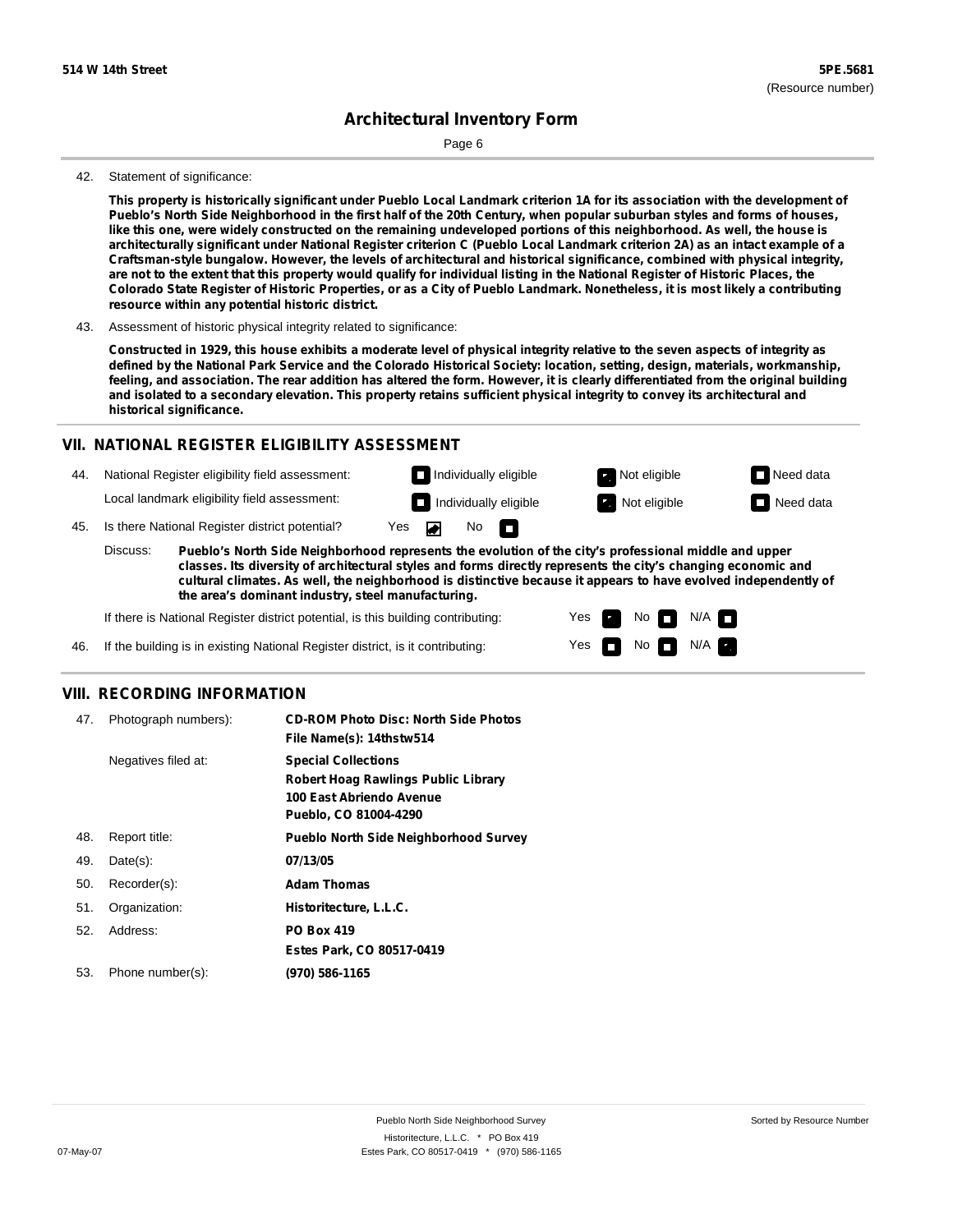Page 6

#### 42. Statement of significance:

This property is historically significant under Pueblo Local Landmark criterion 1A for its association with the development of Pueblo's North Side Neighborhood in the first half of the 20th Century, when popular suburban styles and forms of houses, like this one, were widely constructed on the remaining undeveloped portions of this neighborhood. As well, the house is architecturally significant under National Register criterion C (Pueblo Local Landmark criterion 2A) as an intact example of a **Craftsman-style bungalow. However, the levels of architectural and historical significance, combined with physical integrity,** are not to the extent that this property would qualify for individual listing in the National Register of Historic Places, the Colorado State Register of Historic Properties, or as a City of Pueblo Landmark. Nonetheless, it is most likely a contributing **resource within any potential historic district.**

43. Assessment of historic physical integrity related to significance:

Constructed in 1929, this house exhibits a moderate level of physical integrity relative to the seven aspects of integrity as defined by the National Park Service and the Colorado Historical Society: location, setting, design, materials, workmanship, feeling, and association. The rear addition has altered the form. However, it is clearly differentiated from the original building and isolated to a secondary elevation. This property retains sufficient physical integrity to convey its architectural and **historical significance.**

#### **VII. NATIONAL REGISTER ELIGIBILITY ASSESSMENT**

- 44. National Register eligibility field assessment: Local landmark eligibility field assessment:
- 45. Is there National Register district potential? Yes **Individually eligible Not eligible** Not eligible **Need data**

**Pueblo's North Side Neighborhood represents the evolution of the city's professional middle and upper classes. Its diversity of architectural styles and forms directly represents the city's changing economic and cultural climates. As well, the neighborhood is distinctive because it appears to have evolved independently of the area's dominant industry, steel manufacturing.** Discuss:

No

m

Yes Yes No

**Individually eligible Not eligible** Not eligible **Need data** 

No **N/A** 

 $N/A$ 

If there is National Register district potential, is this building contributing:

If the building is in existing National Register district, is it contributing: 46.

### **VIII. RECORDING INFORMATION**

| 47. | Photograph numbers): | <b>CD-ROM Photo Disc: North Side Photos</b><br>File Name(s): 14thstw514                                                       |
|-----|----------------------|-------------------------------------------------------------------------------------------------------------------------------|
|     | Negatives filed at:  | <b>Special Collections</b><br><b>Robert Hoag Rawlings Public Library</b><br>100 East Abriendo Avenue<br>Pueblo, CO 81004-4290 |
| 48. | Report title:        | <b>Pueblo North Side Neighborhood Survey</b>                                                                                  |
| 49. | $Date(s)$ :          | 07/13/05                                                                                                                      |
| 50. | Recorder(s):         | <b>Adam Thomas</b>                                                                                                            |
| 51. | Organization:        | Historitecture, L.L.C.                                                                                                        |
| 52. | Address:             | <b>PO Box 419</b>                                                                                                             |
|     |                      | Estes Park, CO 80517-0419                                                                                                     |
| 53. | Phone number(s):     | (970) 586-1165                                                                                                                |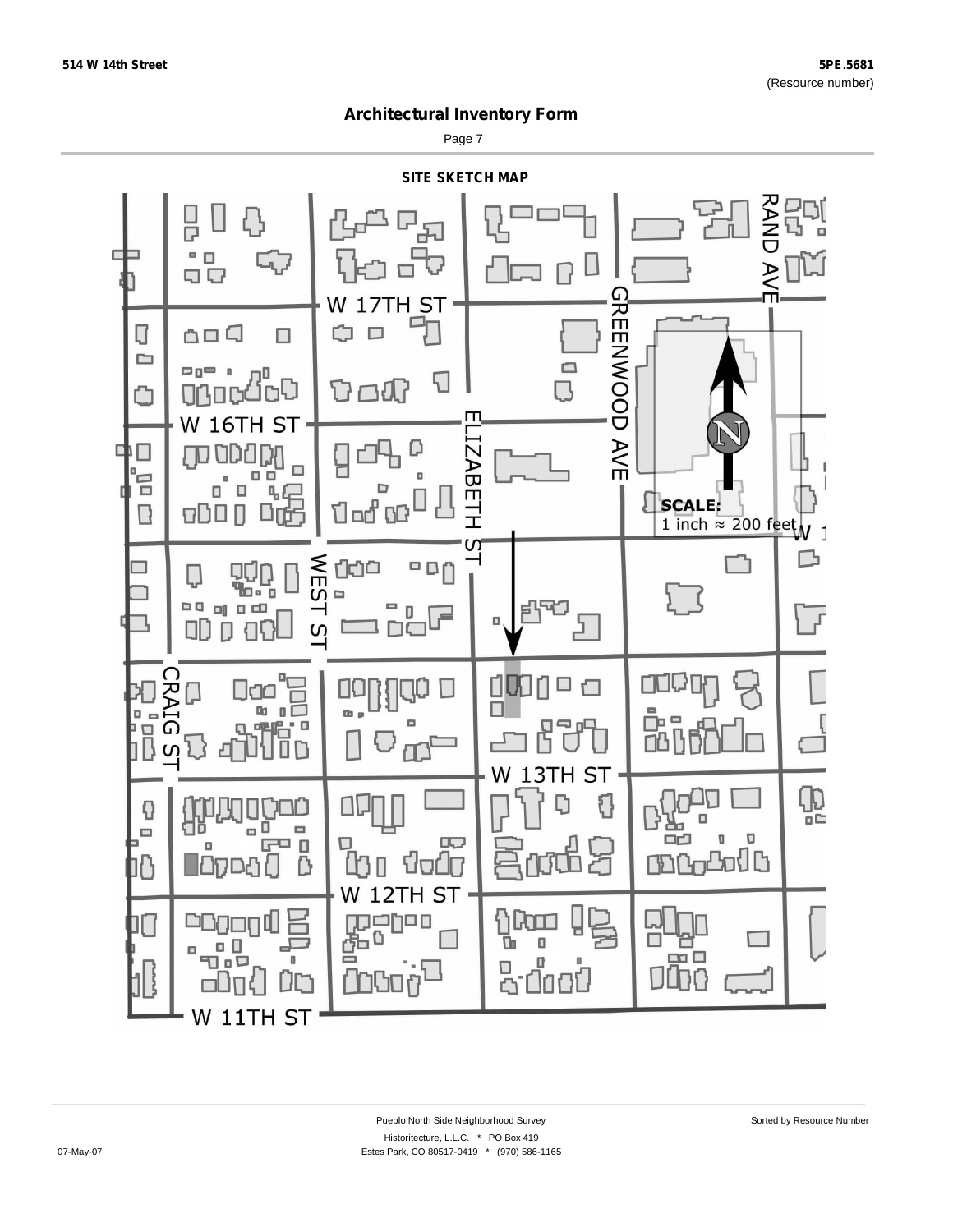Page 7